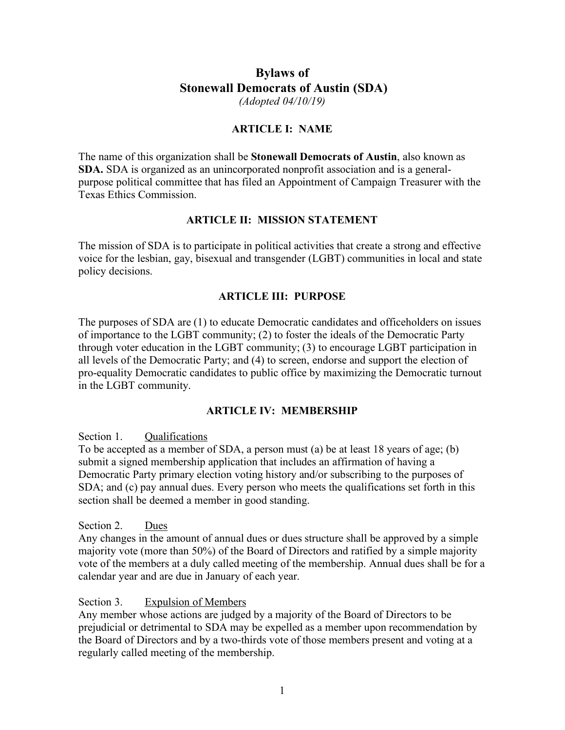# **Bylaws of Stonewall Democrats of Austin (SDA)** *(Adopted 04/10/19)*

### **ARTICLE I: NAME**

The name of this organization shall be **Stonewall Democrats of Austin**, also known as **SDA.** SDA is organized as an unincorporated nonprofit association and is a generalpurpose political committee that has filed an Appointment of Campaign Treasurer with the Texas Ethics Commission.

## **ARTICLE II: MISSION STATEMENT**

The mission of SDA is to participate in political activities that create a strong and effective voice for the lesbian, gay, bisexual and transgender (LGBT) communities in local and state policy decisions.

## **ARTICLE III: PURPOSE**

The purposes of SDA are (1) to educate Democratic candidates and officeholders on issues of importance to the LGBT community; (2) to foster the ideals of the Democratic Party through voter education in the LGBT community; (3) to encourage LGBT participation in all levels of the Democratic Party; and (4) to screen, endorse and support the election of pro-equality Democratic candidates to public office by maximizing the Democratic turnout in the LGBT community.

## **ARTICLE IV: MEMBERSHIP**

Section 1. Qualifications

To be accepted as a member of SDA, a person must (a) be at least 18 years of age; (b) submit a signed membership application that includes an affirmation of having a Democratic Party primary election voting history and/or subscribing to the purposes of SDA; and (c) pay annual dues. Every person who meets the qualifications set forth in this section shall be deemed a member in good standing.

Section 2. Dues

Any changes in the amount of annual dues or dues structure shall be approved by a simple majority vote (more than 50%) of the Board of Directors and ratified by a simple majority vote of the members at a duly called meeting of the membership. Annual dues shall be for a calendar year and are due in January of each year.

Section 3. Expulsion of Members

Any member whose actions are judged by a majority of the Board of Directors to be prejudicial or detrimental to SDA may be expelled as a member upon recommendation by the Board of Directors and by a two-thirds vote of those members present and voting at a regularly called meeting of the membership.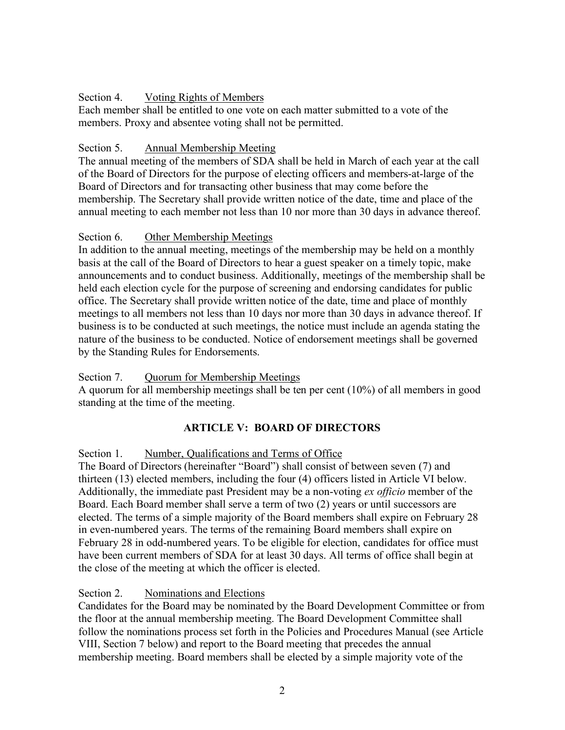### Section 4. Voting Rights of Members

Each member shall be entitled to one vote on each matter submitted to a vote of the members. Proxy and absentee voting shall not be permitted.

### Section 5. Annual Membership Meeting

The annual meeting of the members of SDA shall be held in March of each year at the call of the Board of Directors for the purpose of electing officers and members-at-large of the Board of Directors and for transacting other business that may come before the membership. The Secretary shall provide written notice of the date, time and place of the annual meeting to each member not less than 10 nor more than 30 days in advance thereof.

### Section 6. Other Membership Meetings

In addition to the annual meeting, meetings of the membership may be held on a monthly basis at the call of the Board of Directors to hear a guest speaker on a timely topic, make announcements and to conduct business. Additionally, meetings of the membership shall be held each election cycle for the purpose of screening and endorsing candidates for public office. The Secretary shall provide written notice of the date, time and place of monthly meetings to all members not less than 10 days nor more than 30 days in advance thereof. If business is to be conducted at such meetings, the notice must include an agenda stating the nature of the business to be conducted. Notice of endorsement meetings shall be governed by the Standing Rules for Endorsements.

## Section 7. Quorum for Membership Meetings

A quorum for all membership meetings shall be ten per cent (10%) of all members in good standing at the time of the meeting.

## **ARTICLE V: BOARD OF DIRECTORS**

Section 1. Number, Qualifications and Terms of Office

The Board of Directors (hereinafter "Board") shall consist of between seven (7) and thirteen (13) elected members, including the four (4) officers listed in Article VI below. Additionally, the immediate past President may be a non-voting *ex officio* member of the Board. Each Board member shall serve a term of two (2) years or until successors are elected. The terms of a simple majority of the Board members shall expire on February 28 in even-numbered years. The terms of the remaining Board members shall expire on February 28 in odd-numbered years. To be eligible for election, candidates for office must have been current members of SDA for at least 30 days. All terms of office shall begin at the close of the meeting at which the officer is elected.

## Section 2. Nominations and Elections

Candidates for the Board may be nominated by the Board Development Committee or from the floor at the annual membership meeting. The Board Development Committee shall follow the nominations process set forth in the Policies and Procedures Manual (see Article VIII, Section 7 below) and report to the Board meeting that precedes the annual membership meeting. Board members shall be elected by a simple majority vote of the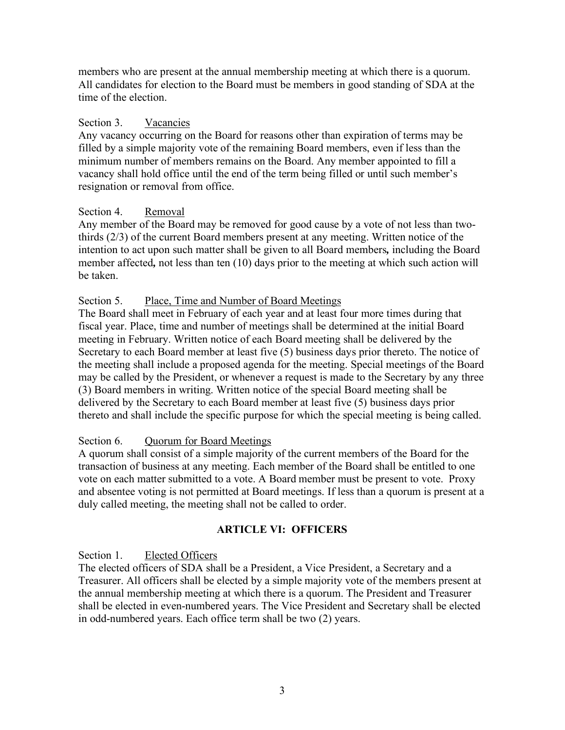members who are present at the annual membership meeting at which there is a quorum. All candidates for election to the Board must be members in good standing of SDA at the time of the election.

## Section 3. Vacancies

Any vacancy occurring on the Board for reasons other than expiration of terms may be filled by a simple majority vote of the remaining Board members, even if less than the minimum number of members remains on the Board. Any member appointed to fill a vacancy shall hold office until the end of the term being filled or until such member's resignation or removal from office.

# Section 4. Removal

Any member of the Board may be removed for good cause by a vote of not less than twothirds (2/3) of the current Board members present at any meeting. Written notice of the intention to act upon such matter shall be given to all Board members*,* including the Board member affected*,* not less than ten (10) days prior to the meeting at which such action will be taken.

# Section 5. Place, Time and Number of Board Meetings

The Board shall meet in February of each year and at least four more times during that fiscal year. Place, time and number of meetings shall be determined at the initial Board meeting in February. Written notice of each Board meeting shall be delivered by the Secretary to each Board member at least five (5) business days prior thereto. The notice of the meeting shall include a proposed agenda for the meeting. Special meetings of the Board may be called by the President, or whenever a request is made to the Secretary by any three (3) Board members in writing. Written notice of the special Board meeting shall be delivered by the Secretary to each Board member at least five (5) business days prior thereto and shall include the specific purpose for which the special meeting is being called.

## Section 6. Quorum for Board Meetings

A quorum shall consist of a simple majority of the current members of the Board for the transaction of business at any meeting. Each member of the Board shall be entitled to one vote on each matter submitted to a vote. A Board member must be present to vote. Proxy and absentee voting is not permitted at Board meetings. If less than a quorum is present at a duly called meeting, the meeting shall not be called to order.

# **ARTICLE VI: OFFICERS**

Section 1. Elected Officers

The elected officers of SDA shall be a President, a Vice President, a Secretary and a Treasurer. All officers shall be elected by a simple majority vote of the members present at the annual membership meeting at which there is a quorum. The President and Treasurer shall be elected in even-numbered years. The Vice President and Secretary shall be elected in odd-numbered years. Each office term shall be two (2) years.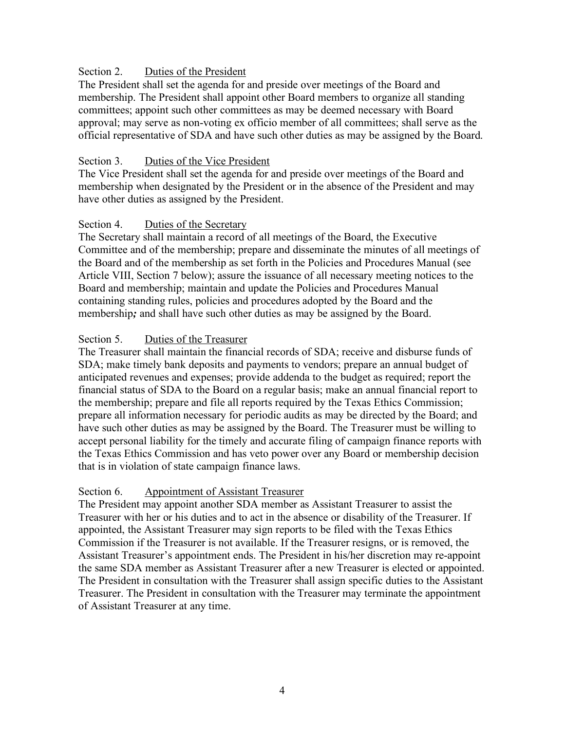### Section 2. Duties of the President

The President shall set the agenda for and preside over meetings of the Board and membership. The President shall appoint other Board members to organize all standing committees; appoint such other committees as may be deemed necessary with Board approval; may serve as non-voting ex officio member of all committees; shall serve as the official representative of SDA and have such other duties as may be assigned by the Board.

### Section 3. Duties of the Vice President

The Vice President shall set the agenda for and preside over meetings of the Board and membership when designated by the President or in the absence of the President and may have other duties as assigned by the President.

### Section 4. Duties of the Secretary

The Secretary shall maintain a record of all meetings of the Board, the Executive Committee and of the membership; prepare and disseminate the minutes of all meetings of the Board and of the membership as set forth in the Policies and Procedures Manual (see Article VIII, Section 7 below); assure the issuance of all necessary meeting notices to the Board and membership; maintain and update the Policies and Procedures Manual containing standing rules, policies and procedures adopted by the Board and the membership*;* and shall have such other duties as may be assigned by the Board.

### Section 5. Duties of the Treasurer

The Treasurer shall maintain the financial records of SDA; receive and disburse funds of SDA; make timely bank deposits and payments to vendors; prepare an annual budget of anticipated revenues and expenses; provide addenda to the budget as required; report the financial status of SDA to the Board on a regular basis; make an annual financial report to the membership; prepare and file all reports required by the Texas Ethics Commission; prepare all information necessary for periodic audits as may be directed by the Board; and have such other duties as may be assigned by the Board. The Treasurer must be willing to accept personal liability for the timely and accurate filing of campaign finance reports with the Texas Ethics Commission and has veto power over any Board or membership decision that is in violation of state campaign finance laws.

## Section 6. Appointment of Assistant Treasurer

The President may appoint another SDA member as Assistant Treasurer to assist the Treasurer with her or his duties and to act in the absence or disability of the Treasurer. If appointed, the Assistant Treasurer may sign reports to be filed with the Texas Ethics Commission if the Treasurer is not available. If the Treasurer resigns, or is removed, the Assistant Treasurer's appointment ends. The President in his/her discretion may re-appoint the same SDA member as Assistant Treasurer after a new Treasurer is elected or appointed. The President in consultation with the Treasurer shall assign specific duties to the Assistant Treasurer. The President in consultation with the Treasurer may terminate the appointment of Assistant Treasurer at any time.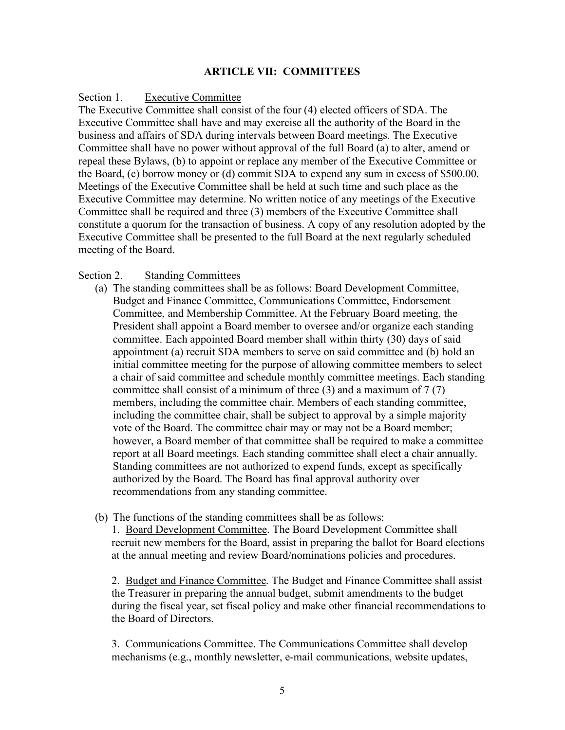### **ARTICLE VII: COMMITTEES**

#### Section 1. Executive Committee

The Executive Committee shall consist of the four (4) elected officers of SDA. The Executive Committee shall have and may exercise all the authority of the Board in the business and affairs of SDA during intervals between Board meetings. The Executive Committee shall have no power without approval of the full Board (a) to alter, amend or repeal these Bylaws, (b) to appoint or replace any member of the Executive Committee or the Board, (c) borrow money or (d) commit SDA to expend any sum in excess of \$500.00. Meetings of the Executive Committee shall be held at such time and such place as the Executive Committee may determine. No written notice of any meetings of the Executive Committee shall be required and three (3) members of the Executive Committee shall constitute a quorum for the transaction of business. A copy of any resolution adopted by the Executive Committee shall be presented to the full Board at the next regularly scheduled meeting of the Board.

#### Section 2. Standing Committees

- (a) The standing committees shall be as follows: Board Development Committee, Budget and Finance Committee, Communications Committee, Endorsement Committee, and Membership Committee. At the February Board meeting, the President shall appoint a Board member to oversee and/or organize each standing committee. Each appointed Board member shall within thirty (30) days of said appointment (a) recruit SDA members to serve on said committee and (b) hold an initial committee meeting for the purpose of allowing committee members to select a chair of said committee and schedule monthly committee meetings. Each standing committee shall consist of a minimum of three (3) and a maximum of 7 (7) members, including the committee chair. Members of each standing committee, including the committee chair, shall be subject to approval by a simple majority vote of the Board. The committee chair may or may not be a Board member; however, a Board member of that committee shall be required to make a committee report at all Board meetings. Each standing committee shall elect a chair annually. Standing committees are not authorized to expend funds, except as specifically authorized by the Board. The Board has final approval authority over recommendations from any standing committee.
- (b) The functions of the standing committees shall be as follows:

1. Board Development Committee. The Board Development Committee shall recruit new members for the Board, assist in preparing the ballot for Board elections at the annual meeting and review Board/nominations policies and procedures.

2. Budget and Finance Committee. The Budget and Finance Committee shall assist the Treasurer in preparing the annual budget, submit amendments to the budget during the fiscal year, set fiscal policy and make other financial recommendations to the Board of Directors.

3. Communications Committee. The Communications Committee shall develop mechanisms (e.g., monthly newsletter, e-mail communications, website updates,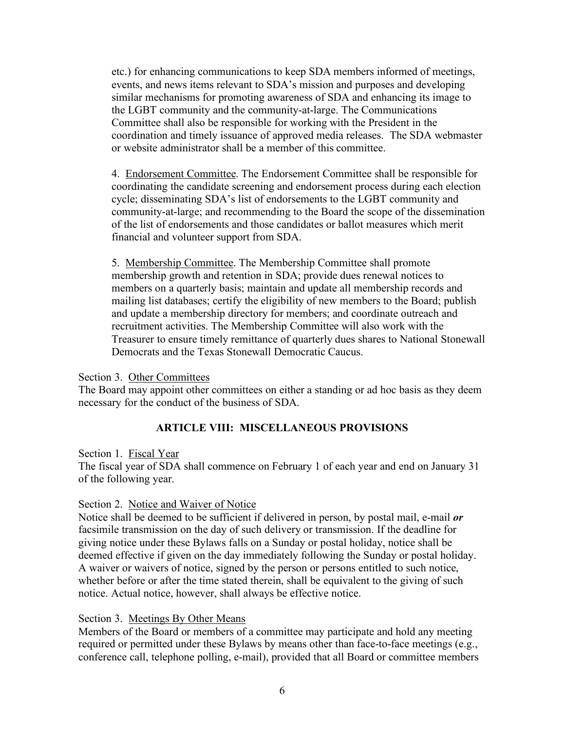etc.) for enhancing communications to keep SDA members informed of meetings, events, and news items relevant to SDA's mission and purposes and developing similar mechanisms for promoting awareness of SDA and enhancing its image to the LGBT community and the community-at-large. The Communications Committee shall also be responsible for working with the President in the coordination and timely issuance of approved media releases. The SDA webmaster or website administrator shall be a member of this committee.

4. Endorsement Committee. The Endorsement Committee shall be responsible for coordinating the candidate screening and endorsement process during each election cycle; disseminating SDA's list of endorsements to the LGBT community and community-at-large; and recommending to the Board the scope of the dissemination of the list of endorsements and those candidates or ballot measures which merit financial and volunteer support from SDA.

5. Membership Committee. The Membership Committee shall promote membership growth and retention in SDA; provide dues renewal notices to members on a quarterly basis; maintain and update all membership records and mailing list databases; certify the eligibility of new members to the Board; publish and update a membership directory for members; and coordinate outreach and recruitment activities. The Membership Committee will also work with the Treasurer to ensure timely remittance of quarterly dues shares to National Stonewall Democrats and the Texas Stonewall Democratic Caucus.

### Section 3. Other Committees

The Board may appoint other committees on either a standing or ad hoc basis as they deem necessary for the conduct of the business of SDA.

## **ARTICLE VIII: MISCELLANEOUS PROVISIONS**

### Section 1. Fiscal Year

The fiscal year of SDA shall commence on February 1 of each year and end on January 31 of the following year.

## Section 2. Notice and Waiver of Notice

Notice shall be deemed to be sufficient if delivered in person, by postal mail, e-mail *or* facsimile transmission on the day of such delivery or transmission. If the deadline for giving notice under these Bylaws falls on a Sunday or postal holiday, notice shall be deemed effective if given on the day immediately following the Sunday or postal holiday. A waiver or waivers of notice, signed by the person or persons entitled to such notice, whether before or after the time stated therein, shall be equivalent to the giving of such notice. Actual notice, however, shall always be effective notice.

## Section 3. Meetings By Other Means

Members of the Board or members of a committee may participate and hold any meeting required or permitted under these Bylaws by means other than face-to-face meetings (e.g., conference call, telephone polling, e-mail), provided that all Board or committee members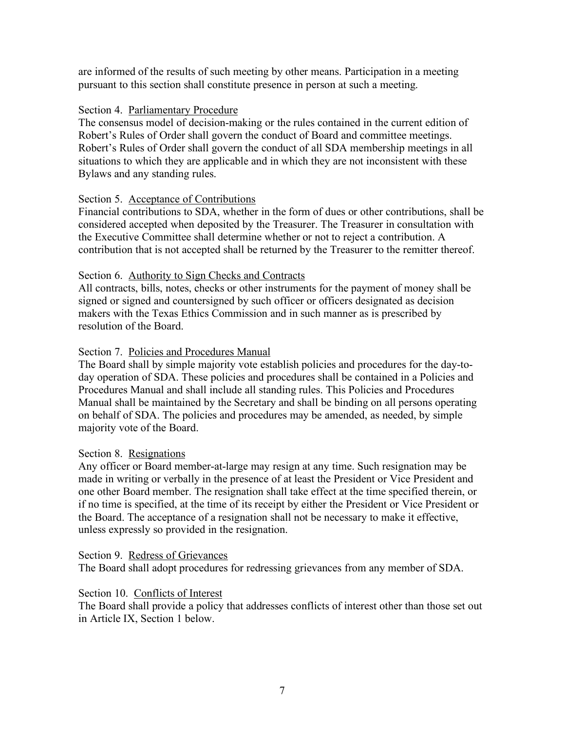are informed of the results of such meeting by other means. Participation in a meeting pursuant to this section shall constitute presence in person at such a meeting.

### Section 4. Parliamentary Procedure

The consensus model of decision-making or the rules contained in the current edition of Robert's Rules of Order shall govern the conduct of Board and committee meetings. Robert's Rules of Order shall govern the conduct of all SDA membership meetings in all situations to which they are applicable and in which they are not inconsistent with these Bylaws and any standing rules.

### Section 5. Acceptance of Contributions

Financial contributions to SDA, whether in the form of dues or other contributions, shall be considered accepted when deposited by the Treasurer. The Treasurer in consultation with the Executive Committee shall determine whether or not to reject a contribution. A contribution that is not accepted shall be returned by the Treasurer to the remitter thereof.

### Section 6. Authority to Sign Checks and Contracts

All contracts, bills, notes, checks or other instruments for the payment of money shall be signed or signed and countersigned by such officer or officers designated as decision makers with the Texas Ethics Commission and in such manner as is prescribed by resolution of the Board.

### Section 7. Policies and Procedures Manual

The Board shall by simple majority vote establish policies and procedures for the day-today operation of SDA. These policies and procedures shall be contained in a Policies and Procedures Manual and shall include all standing rules. This Policies and Procedures Manual shall be maintained by the Secretary and shall be binding on all persons operating on behalf of SDA. The policies and procedures may be amended, as needed, by simple majority vote of the Board.

## Section 8. Resignations

Any officer or Board member-at-large may resign at any time. Such resignation may be made in writing or verbally in the presence of at least the President or Vice President and one other Board member. The resignation shall take effect at the time specified therein, or if no time is specified, at the time of its receipt by either the President or Vice President or the Board. The acceptance of a resignation shall not be necessary to make it effective, unless expressly so provided in the resignation.

Section 9. Redress of Grievances The Board shall adopt procedures for redressing grievances from any member of SDA.

## Section 10. Conflicts of Interest

The Board shall provide a policy that addresses conflicts of interest other than those set out in Article IX, Section 1 below.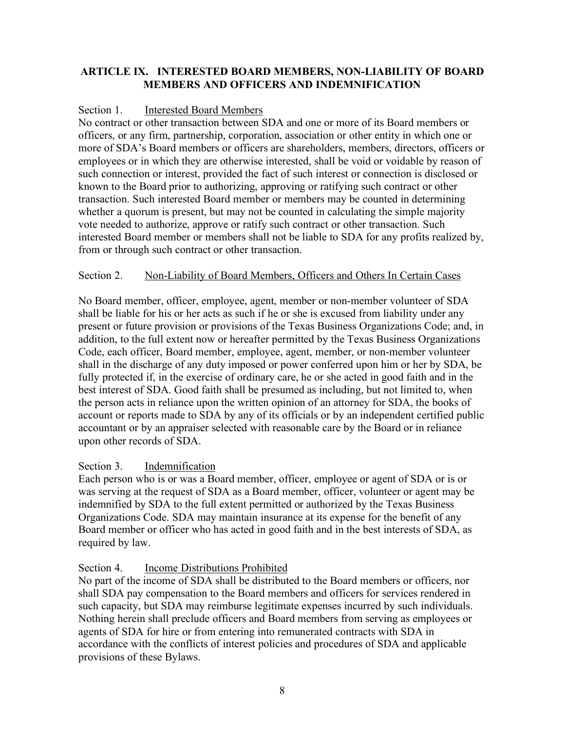# **ARTICLE IX. INTERESTED BOARD MEMBERS, NON-LIABILITY OF BOARD MEMBERS AND OFFICERS AND INDEMNIFICATION**

## Section 1. Interested Board Members

No contract or other transaction between SDA and one or more of its Board members or officers, or any firm, partnership, corporation, association or other entity in which one or more of SDA's Board members or officers are shareholders, members, directors, officers or employees or in which they are otherwise interested, shall be void or voidable by reason of such connection or interest, provided the fact of such interest or connection is disclosed or known to the Board prior to authorizing, approving or ratifying such contract or other transaction. Such interested Board member or members may be counted in determining whether a quorum is present, but may not be counted in calculating the simple majority vote needed to authorize, approve or ratify such contract or other transaction. Such interested Board member or members shall not be liable to SDA for any profits realized by, from or through such contract or other transaction.

## Section 2. Non-Liability of Board Members, Officers and Others In Certain Cases

No Board member, officer, employee, agent, member or non-member volunteer of SDA shall be liable for his or her acts as such if he or she is excused from liability under any present or future provision or provisions of the Texas Business Organizations Code; and, in addition, to the full extent now or hereafter permitted by the Texas Business Organizations Code, each officer, Board member, employee, agent, member, or non-member volunteer shall in the discharge of any duty imposed or power conferred upon him or her by SDA, be fully protected if, in the exercise of ordinary care, he or she acted in good faith and in the best interest of SDA. Good faith shall be presumed as including, but not limited to, when the person acts in reliance upon the written opinion of an attorney for SDA, the books of account or reports made to SDA by any of its officials or by an independent certified public accountant or by an appraiser selected with reasonable care by the Board or in reliance upon other records of SDA.

## Section 3. Indemnification

Each person who is or was a Board member, officer, employee or agent of SDA or is or was serving at the request of SDA as a Board member, officer, volunteer or agent may be indemnified by SDA to the full extent permitted or authorized by the Texas Business Organizations Code. SDA may maintain insurance at its expense for the benefit of any Board member or officer who has acted in good faith and in the best interests of SDA, as required by law.

# Section 4. Income Distributions Prohibited

No part of the income of SDA shall be distributed to the Board members or officers, nor shall SDA pay compensation to the Board members and officers for services rendered in such capacity, but SDA may reimburse legitimate expenses incurred by such individuals. Nothing herein shall preclude officers and Board members from serving as employees or agents of SDA for hire or from entering into remunerated contracts with SDA in accordance with the conflicts of interest policies and procedures of SDA and applicable provisions of these Bylaws.